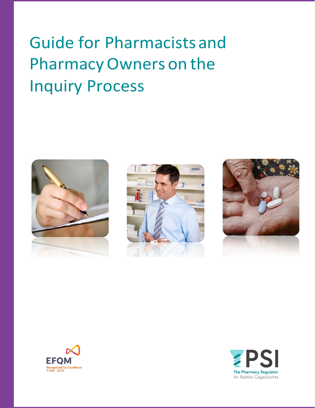# Guide for Pharmacistsand PharmacyOwners on the Inquiry Process









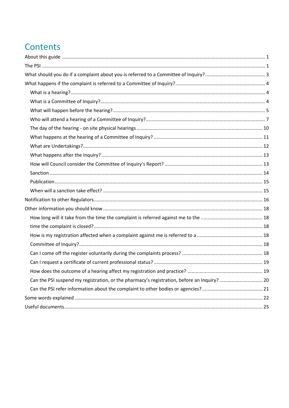## Contents

| Can the PSI suspend my registration, or the pharmacy's registration, before an Inquiry?  20 |  |
|---------------------------------------------------------------------------------------------|--|
|                                                                                             |  |
|                                                                                             |  |
|                                                                                             |  |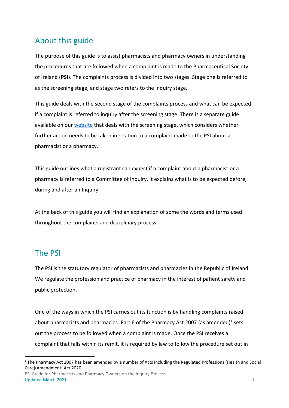## <span id="page-2-0"></span>About this guide

The purpose of this guide is to assist pharmacists and pharmacy owners in understanding the procedures that are followed when a complaint is made to the Pharmaceutical Society of Ireland (**PSI**). The complaints process is divided into two stages. Stage one is referred to as the screening stage, and stage two refers to the inquiry stage.

This guide deals with the second stage of the complaints process and what can be expected if a complaint is referred to inquiry after the screening stage. There is a separate guide available on our [website](http://www.psi.ie/) that deals with the screening stage, which considers whether further action needs to be taken in relation to a complaint made to the PSI about a pharmacist or a pharmacy.

This guide outlines what a registrant can expect if a complaint about a pharmacist or a pharmacy is referred to a Committee of Inquiry. It explains what is to be expected before, during and after an Inquiry.

At the back of this guide you will find an explanation of some the words and terms used throughout the complaints and disciplinary process.

## <span id="page-2-1"></span>The PSI

The PSI is the statutory regulator of pharmacists and pharmacies in the Republic of Ireland. We regulate the profession and practice of pharmacy in the interest of patient safety and public protection.

One of the ways in which the PSI carries out its function is by handling complaints raised about pharmacists and pharmacies. Part 6 of the Pharmacy Act 2007 (as amended)<sup>1</sup> sets out the process to be followed when a complaint is made. Once the PSI receives a complaint that falls within its remit, it is required by law to follow the procedure set out in

PSI Guide for Pharmacists and Pharmacy Owners on the Inquiry Process Updated March 2021 **1** 

<sup>&</sup>lt;sup>1</sup> The Pharmacy Act 2007 has been amended by a number of Acts including the Regulated Professions (Health and Social Care)(Amendment) Act 2020.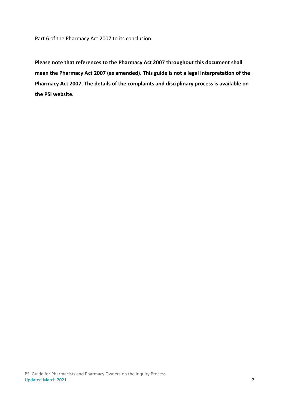Part 6 of the Pharmacy Act 2007 to its conclusion.

**Please note that references to the Pharmacy Act 2007 throughout this document shall mean the Pharmacy Act 2007 (as amended). This guide is not a legal interpretation of the Pharmacy Act 2007. The details of the complaints and disciplinary process is available on the PSI website.**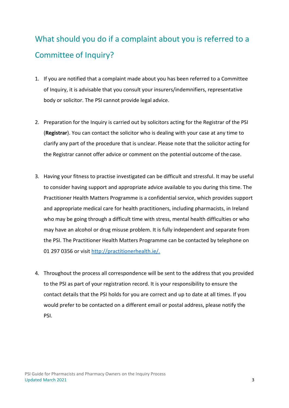# <span id="page-4-0"></span>What should you do if a complaint about you is referred to a Committee of Inquiry?

- 1. If you are notified that a complaint made about you has been referred to a Committee of Inquiry, it is advisable that you consult your insurers/indemnifiers, representative body or solicitor. The PSI cannot provide legal advice.
- 2. Preparation for the Inquiry is carried out by solicitors acting for the Registrar of the PSI (**Registrar**). You can contact the solicitor who is dealing with your case at any time to clarify any part of the procedure that is unclear. Please note that the solicitor acting for the Registrar cannot offer advice or comment on the potential outcome of the case.
- 3. Having your fitness to practise investigated can be difficult and stressful. It may be useful to consider having support and appropriate advice available to you during this time. The Practitioner Health Matters Programme is a confidential service, which provides support and appropriate medical care for health practitioners, including pharmacists, in Ireland who may be going through a difficult time with stress, mental health difficulties or who may have an alcohol or drug misuse problem. It is fully independent and separate from the PSI. The Practitioner Health Matters Programme can be contacted by telephone on 01 297 0356 or visit [http://practitionerhealth.ie/.](http://practitionerhealth.ie/)
- 4. Throughout the process all correspondence will be sent to the address that you provided to the PSI as part of your registration record. It is your responsibility to ensure the contact details that the PSI holds for you are correct and up to date at all times. If you would prefer to be contacted on a different email or postal address, please notify the PSI.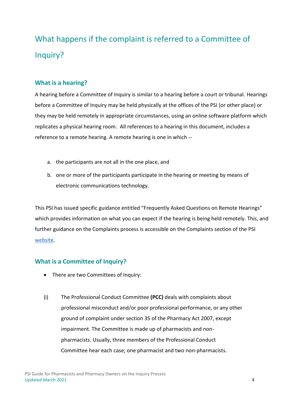# <span id="page-5-0"></span>What happens if the complaint is referred to a Committee of Inquiry?

#### <span id="page-5-1"></span>**What is a hearing?**

A hearing before a Committee of Inquiry is similar to a hearing before a court or tribunal. Hearings before a Committee of Inquiry may be held physically at the offices of the PSI (or other place) or they may be held remotely in appropriate circumstances, using an online software platform which replicates a physical hearing room. All references to a hearing in this document, includes a reference to a remote hearing. A remote hearing is one in which --

- a. the participants are not all in the one place, and
- b. one or more of the participants participate in the hearing or meeting by means of electronic communications technology.

This PSI has issued specific guidance entitled "Frequently Asked Questions on Remote Hearings" which provides information on what you can expect if the hearing is being held remotely. This, and further guidance on the Complaints process is accessible on the Complaints section of the PSI [website.](https://www.thepsi.ie/gns/making-a-complaint/overview.aspx)

#### <span id="page-5-2"></span>**What is a Committee of Inquiry?**

- There are two Committees of Inquiry:
- (i) The Professional Conduct Committee **(PCC)** deals with complaints about professional misconduct and/or poor professional performance, or any other ground of complaint under section 35 of the Pharmacy Act 2007, except impairment. The Committee is made up of pharmacists and nonpharmacists. Usually, three members of the Professional Conduct Committee hear each case; one pharmacist and two non-pharmacists.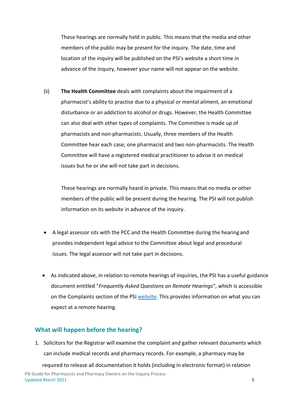These hearings are normally held in public. This means that the media and other members of the public may be present for the inquiry. The date, time and location of the inquiry will be published on the PSI's website a short time in advance of the inquiry, however your name will not appear on the website.

(ii) **The Health Committee** deals with complaints about the impairment of a pharmacist's ability to practise due to a physical or mental ailment, an emotional disturbance or an addiction to alcohol or drugs. However, the Health Committee can also deal with other types of complaints. The Committee is made up of pharmacists and non-pharmacists. Usually, three members of the Health Committee hear each case; one pharmacist and two non-pharmacists. The Health Committee will have a registered medical practitioner to advise it on medical issues but he or she will not take part in decisions.

These hearings are normally heard in private. This means that no media or other members of the public will be present during the hearing. The PSI will not publish information on its website in advance of the inquiry.

- A legal assessor sits with the PCC and the Health Committee during the hearing and provides independent legal advice to the Committee about legal and procedural issues. The legal assessor will not take part in decisions.
- As indicated above, in relation to remote hearings of inquiries, the PSI has a useful guidance document entitled "*Frequently Asked Questions on Remote Hearings*", which is accessible on the Complaints section of the PSI [website.](https://www.thepsi.ie/gns/making-a-complaint/overview.aspx) This provides information on what you can expect at a remote hearing.

#### <span id="page-6-0"></span>**What will happen before the hearing?**

1. Solicitors for the Registrar will examine the complaint and gather relevant documents which can include medical records and pharmacy records. For example, a pharmacy may be

PSI Guide for Pharmacists and Pharmacy Owners on the Inquiry Process Updated March 2021 5 required to release all documentation it holds (including in electronic format) in relation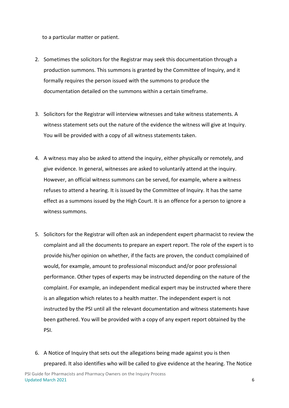to a particular matter or patient.

- 2. Sometimes the solicitors for the Registrar may seek this documentation through a production summons. This summons is granted by the Committee of Inquiry, and it formally requires the person issued with the summons to produce the documentation detailed on the summons within a certain timeframe.
- 3. Solicitors for the Registrar will interview witnesses and take witness statements. A witness statement sets out the nature of the evidence the witness will give at Inquiry. You will be provided with a copy of all witness statements taken.
- 4. A witness may also be asked to attend the inquiry, either physically or remotely, and give evidence. In general, witnesses are asked to voluntarily attend at the inquiry. However, an official witness summons can be served, for example, where a witness refuses to attend a hearing. It is issued by the Committee of Inquiry. It has the same effect as a summons issued by the High Court. It is an offence for a person to ignore a witness summons.
- 5. Solicitors for the Registrar will often ask an independent expert pharmacist to review the complaint and all the documents to prepare an expert report. The role of the expert is to provide his/her opinion on whether, if the facts are proven, the conduct complained of would, for example, amount to professional misconduct and/or poor professional performance. Other types of experts may be instructed depending on the nature of the complaint. For example, an independent medical expert may be instructed where there is an allegation which relates to a health matter. The independent expert is not instructed by the PSI until all the relevant documentation and witness statements have been gathered. You will be provided with a copy of any expert report obtained by the PSI.
- 6. A Notice of Inquiry that sets out the allegations being made against you is then prepared. It also identifies who will be called to give evidence at the hearing. The Notice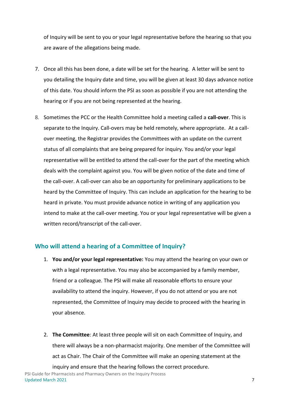of Inquiry will be sent to you or your legal representative before the hearing so that you are aware of the allegations being made.

- 7. Once all this has been done, a date will be set for the hearing. A letter will be sent to you detailing the Inquiry date and time, you will be given at least 30 days advance notice of this date. You should inform the PSI as soon as possible if you are not attending the hearing or if you are not being represented at the hearing.
- 8. Sometimes the PCC or the Health Committee hold a meeting called a **call-over**. This is separate to the Inquiry. Call-overs may be held remotely, where appropriate. At a callover meeting, the Registrar provides the Committees with an update on the current status of all complaints that are being prepared for inquiry. You and/or your legal representative will be entitled to attend the call-over for the part of the meeting which deals with the complaint against you. You will be given notice of the date and time of the call-over. A call-over can also be an opportunity for preliminary applications to be heard by the Committee of Inquiry. This can include an application for the hearing to be heard in private. You must provide advance notice in writing of any application you intend to make at the call-over meeting. You or your legal representative will be given a written record/transcript of the call-over.

#### <span id="page-8-0"></span>**Who will attend a hearing of a Committee of Inquiry?**

- 1. **You and/or your legal representative:** You may attend the hearing on your own or with a legal representative. You may also be accompanied by a family member, friend or a colleague. The PSI will make all reasonable efforts to ensure your availability to attend the inquiry. However, if you do not attend or you are not represented, the Committee of Inquiry may decide to proceed with the hearing in your absence.
- 2. **The Committee**: At least three people will sit on each Committee of Inquiry, and there will always be a non-pharmacist majority. One member of the Committee will act as Chair. The Chair of the Committee will make an opening statement at the inquiry and ensure that the hearing follows the correct procedure.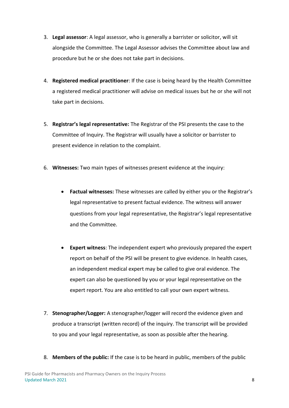- 3. **Legal assessor**: A legal assessor, who is generally a barrister or solicitor, will sit alongside the Committee. The Legal Assessor advises the Committee about law and procedure but he or she does not take part in decisions.
- 4. **Registered medical practitioner**: If the case is being heard by the Health Committee a registered medical practitioner will advise on medical issues but he or she will not take part in decisions.
- 5. **Registrar's legal representative:** The Registrar of the PSI presents the case to the Committee of Inquiry. The Registrar will usually have a solicitor or barrister to present evidence in relation to the complaint.
- 6. **Witnesses:** Two main types of witnesses present evidence at the inquiry:
	- **Factual witnesses:** These witnesses are called by either you or the Registrar's legal representative to present factual evidence. The witness will answer questions from your legal representative, the Registrar's legal representative and the Committee.
	- **Expert witness**: The independent expert who previously prepared the expert report on behalf of the PSI will be present to give evidence. In health cases, an independent medical expert may be called to give oral evidence. The expert can also be questioned by you or your legal representative on the expert report. You are also entitled to call your own expert witness.
- 7. **Stenographer/Logger:** A stenographer/logger will record the evidence given and produce a transcript (written record) of the inquiry. The transcript will be provided to you and your legal representative, as soon as possible after the hearing.
- 8. **Members of the public:** If the case is to be heard in public, members of the public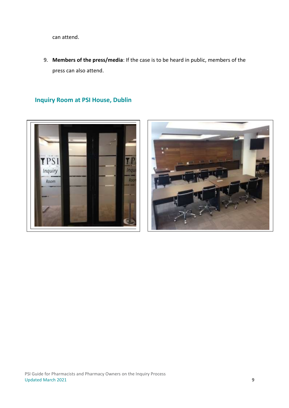can attend.

9. **Members of the press/media**: If the case is to be heard in public, members of the press can also attend.

**Inquiry Room at PSI House, Dublin**



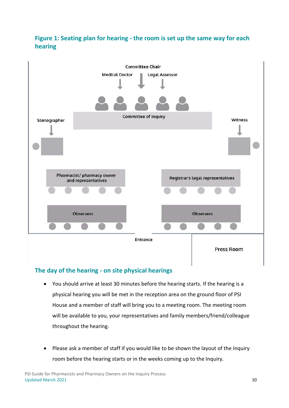## **Figure 1: Seating plan for hearing - the room is set up the same way for each hearing**



#### <span id="page-11-0"></span>**The day of the hearing - on site physical hearings**

- You should arrive at least 30 minutes before the hearing starts. If the hearing is a physical hearing you will be met in the reception area on the ground floor of PSI House and a member of staff will bring you to a meeting room. The meeting room will be available to you, your representatives and family members/friend/colleague throughout the hearing.
- Please ask a member of staff if you would like to be shown the layout of the Inquiry room before the hearing starts or in the weeks coming up to the Inquiry.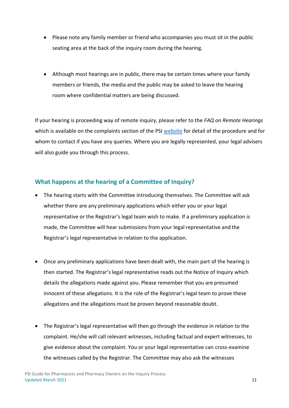- Please note any family member or friend who accompanies you must sit in the public seating area at the back of the inquiry room during the hearing.
- Although most hearings are in public, there may be certain times where your family members or friends, the media and the public may be asked to leave the hearing room where confidential matters are being discussed.

If your hearing is proceeding way of remote inquiry, please refer to the *FAQ on Remote Hearings* which is available on the complaints section of the PSI [website](https://www.thepsi.ie/gns/making-a-complaint/overview.aspx) for detail of the procedure and for whom to contact if you have any queries. Where you are legally represented, your legal advisers will also guide you through this process.

#### <span id="page-12-0"></span>**What happens at the hearing of a Committee of Inquiry?**

- The hearing starts with the Committee introducing themselves. The Committee will ask whether there are any preliminary applications which either you or your legal representative or the Registrar's legal team wish to make. If a preliminary application is made, the Committee will hear submissions from your legal representative and the Registrar's legal representative in relation to the application.
- Once any preliminary applications have been dealt with, the main part of the hearing is then started. The Registrar's legal representative reads out the Notice of Inquiry which details the allegations made against you. Please remember that you are presumed innocent of these allegations. It is the role of the Registrar's legal team to prove these allegations and the allegations must be proven beyond reasonable doubt.
- The Registrar's legal representative will then go through the evidence in relation to the complaint. He/she will call relevant witnesses, including factual and expert witnesses, to give evidence about the complaint. You or your legal representative can cross-examine the witnesses called by the Registrar. The Committee may also ask the witnesses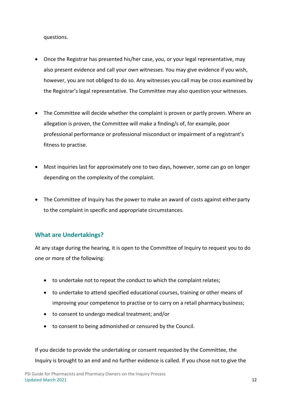questions.

- Once the Registrar has presented his/her case, you, or your legal representative, may also present evidence and call your own witnesses. You may give evidence if you wish, however, you are not obliged to do so. Any witnesses you call may be cross examined by the Registrar's legal representative. The Committee may also question your witnesses.
- The Committee will decide whether the complaint is proven or partly proven. Where an allegation is proven, the Committee will make a finding/s of, for example, poor professional performance or professional misconduct or impairment of a registrant's fitness to practise.
- Most inquiries last for approximately one to two days, however, some can go on longer depending on the complexity of the complaint.
- The Committee of Inquiry has the power to make an award of costs against either party to the complaint in specific and appropriate circumstances.

#### <span id="page-13-0"></span>**What are Undertakings?**

At any stage during the hearing, it is open to the Committee of Inquiry to request you to do one or more of the following:

- to undertake not to repeat the conduct to which the complaint relates;
- to undertake to attend specified educational courses, training or other means of improving your competence to practise or to carry on a retail pharmacy business;
- to consent to undergo medical treatment; and/or
- to consent to being admonished or censured by the Council.

If you decide to provide the undertaking or consent requested by the Committee, the Inquiry is brought to an end and no further evidence is called. If you chose not to give the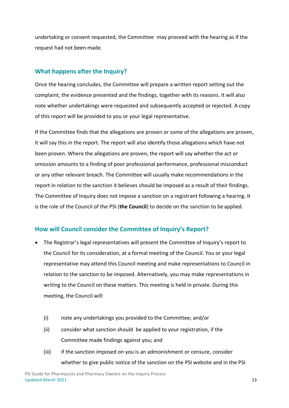undertaking or consent requested, the Committee may proceed with the hearing as if the request had not been made.

#### <span id="page-14-0"></span>**What happens after the Inquiry?**

Once the hearing concludes, the Committee will prepare a written report setting out the complaint, the evidence presented and the findings, together with its reasons. It will also note whether undertakings were requested and subsequently accepted or rejected. A copy of this report will be provided to you or your legal representative.

If the Committee finds that the allegations are proven or some of the allegations are proven, it will say this in the report. The report will also identify those allegations which have not been proven. Where the allegations are proven, the report will say whether the act or omission amounts to a finding of poor professional performance, professional misconduct or any other relevant breach. The Committee will usually make recommendations in the report in relation to the sanction it believes should be imposed as a result of their findings. The Committee of Inquiry does not impose a sanction on a registrant following a hearing. It is the role of the Council of the PSI (**the Council**) to decide on the sanction to be applied.

#### <span id="page-14-1"></span>**How will Council consider the Committee of Inquiry's Report?**

- The Registrar's legal representatives will present the Committee of Inquiry's report to the Council for its consideration, at a formal meeting of the Council. You or your legal representative may attend this Council meeting and make representations to Council in relation to the sanction to be imposed. Alternatively, you may make representations in writing to the Council on these matters. This meeting is held in private. During this meeting, the Council will:
	- (i) note any undertakings you provided to the Committee; and/or
	- (ii) consider what sanction should be applied to your registration, if the Committee made findings against you; and
	- (iii) if the sanction imposed on you is an admonishment or censure, consider whether to give public notice of the sanction on the PSI website and in the PSI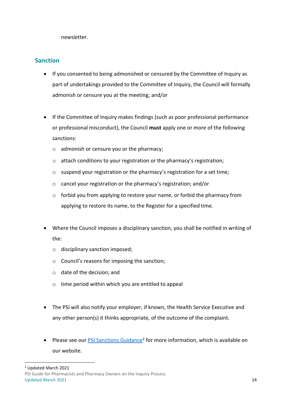newsletter.

#### <span id="page-15-0"></span>**Sanction**

- If you consented to being admonished or censured by the Committee of Inquiry as part of undertakings provided to the Committee of Inquiry, the Council will formally admonish or censure you at the meeting; and/or
- If the Committee of Inquiry makes findings (such as poor professional performance or professional misconduct), the Council **must** apply one or more of the following sanctions:
	- o admonish or censure you or the pharmacy;
	- o attach conditions to your registration or the pharmacy's registration;
	- o suspend your registration or the pharmacy's registration for a set time;
	- o cancel your registration or the pharmacy's registration; and/or
	- o forbid you from applying to restore your name, or forbid the pharmacy from applying to restore its name, to the Register for a specified time.
- Where the Council imposes a disciplinary sanction, you shall be notified in writing of the:
	- o disciplinary sanction imposed;
	- o Council's reasons for imposing the sanction;
	- o date of the decision; and
	- o time period within which you are entitled to appeal
- The PSI will also notify your employer, if known, the Health Service Executive and any other person(s) it thinks appropriate, of the outcome of the complaint.
- Please see our **[PSI Sanctions Guidance](https://www.thepsi.ie/gns/making-a-complaint/What_happens_after_a_complaint_is_made/Committees_of_Inquiry.aspx)<sup>2</sup> for more information**, which is available on our website.

<sup>2</sup> Updated March 2021

PSI Guide for Pharmacists and Pharmacy Owners on the Inquiry Process Updated March 2021 **14**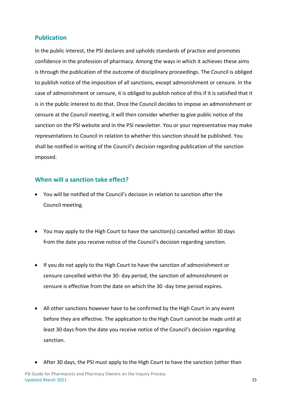#### <span id="page-16-0"></span>**Publication**

In the public interest, the PSI declares and upholds standards of practice and promotes confidence in the profession of pharmacy. Among the ways in which it achieves these aims is through the publication of the outcome of disciplinary proceedings. The Council is obliged to publish notice of the imposition of all sanctions, except admonishment or censure. In the case of admonishment or censure, it is obliged to publish notice of this if it is satisfied that it is in the public interest to do that. Once the Council decides to impose an admonishment or censure at the Council meeting, it will then consider whether to give public notice of the sanction on the PSI website and in the PSI newsletter. You or your representative may make representations to Council in relation to whether this sanction should be published. You shall be notified in writing of the Council's decision regarding publication of the sanction imposed.

#### <span id="page-16-1"></span>**When will a sanction take effect?**

- You will be notified of the Council's decision in relation to sanction after the Council meeting.
- You may apply to the High Court to have the sanction(s) cancelled within 30 days from the date you receive notice of the Council's decision regarding sanction.
- If you do not apply to the High Court to have the sanction of admonishment or censure cancelled within the 30- day period, the sanction of admonishment or censure is effective from the date on which the 30 -day time period expires.
- All other sanctions however have to be confirmed by the High Court in any event before they are effective. The application to the High Court cannot be made until at least 30 days from the date you receive notice of the Council's decision regarding sanction.
- After 30 days, the PSI must apply to the High Court to have the sanction (other than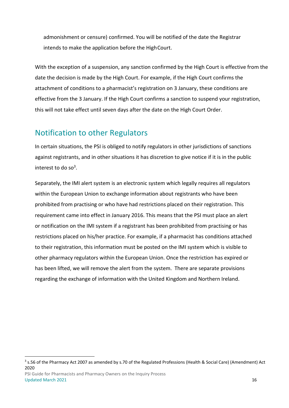admonishment or censure) confirmed. You will be notified of the date the Registrar intends to make the application before the HighCourt.

With the exception of a suspension, any sanction confirmed by the High Court is effective from the date the decision is made by the High Court. For example, if the High Court confirms the attachment of conditions to a pharmacist's registration on 3 January, these conditions are effective from the 3 January. If the High Court confirms a sanction to suspend your registration, this will not take effect until seven days after the date on the High Court Order.

## <span id="page-17-0"></span>Notification to other Regulators

In certain situations, the PSI is obliged to notify regulators in other jurisdictions of sanctions against registrants, and in other situations it has discretion to give notice if it is in the public interest to do so<sup>3</sup>.

Separately, the IMI alert system is an electronic system which legally requires all regulators within the European Union to exchange information about registrants who have been prohibited from practising or who have had restrictions placed on their registration. This requirement came into effect in January 2016. This means that the PSI must place an alert or notification on the IMI system if a registrant has been prohibited from practising or has restrictions placed on his/her practice. For example, if a pharmacist has conditions attached to their registration, this information must be posted on the IMI system which is visible to other pharmacy regulators within the European Union. Once the restriction has expired or has been lifted, we will remove the alert from the system. There are separate provisions regarding the exchange of information with the United Kingdom and Northern Ireland.

<sup>&</sup>lt;sup>3</sup> s.56 of the Pharmacy Act 2007 as amended by s.70 of the Regulated Professions (Health & Social Care) (Amendment) Act 2020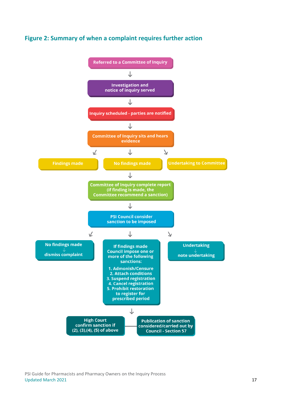



PSI Guide for Pharmacists and Pharmacy Owners on the Inquiry Process Updated March 2021 **17**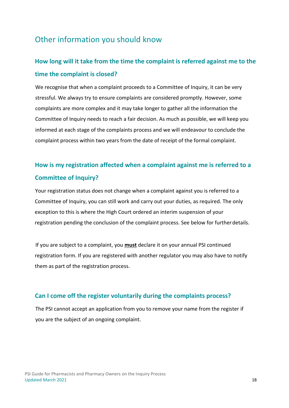## <span id="page-19-0"></span>Other information you should know

## <span id="page-19-2"></span><span id="page-19-1"></span>**How long will it take from the time the complaint is referred against me to the time the complaint is closed?**

We recognise that when a complaint proceeds to a Committee of Inquiry, it can be very stressful. We always try to ensure complaints are considered promptly. However, some complaints are more complex and it may take longer to gather all the information the Committee of Inquiry needs to reach a fair decision. As much as possible, we will keep you informed at each stage of the complaints process and we will endeavour to conclude the complaint process within two years from the date of receipt of the formal complaint.

## <span id="page-19-4"></span><span id="page-19-3"></span>**How is my registration affected when a complaint against me is referred to a Committee of Inquiry?**

Your registration status does not change when a complaint against you is referred to a Committee of Inquiry, you can still work and carry out your duties, as required. The only exception to this is where the High Court ordered an interim suspension of your registration pending the conclusion of the complaint process. See below for furtherdetails.

If you are subject to a complaint, you **must** declare it on your annual PSI continued registration form. If you are registered with another regulator you may also have to notify them as part of the registration process.

#### <span id="page-19-5"></span>**Can I come off the register voluntarily during the complaints process?**

The PSI cannot accept an application from you to remove your name from the register if you are the subject of an ongoing complaint.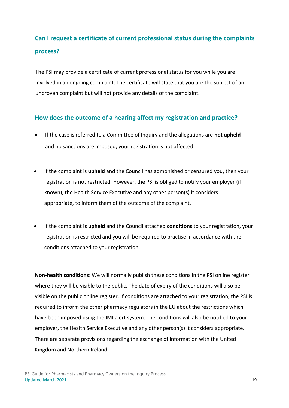## <span id="page-20-0"></span>**Can I request a certificate of current professional status during the complaints process?**

The PSI may provide a certificate of current professional status for you while you are involved in an ongoing complaint. The certificate will state that you are the subject of an unproven complaint but will not provide any details of the complaint.

#### <span id="page-20-1"></span>**How does the outcome of a hearing affect my registration and practice?**

- If the case is referred to a Committee of Inquiry and the allegations are **not upheld** and no sanctions are imposed, your registration is not affected.
- If the complaint is **upheld** and the Council has admonished or censured you, then your registration is not restricted. However, the PSI is obliged to notify your employer (if known), the Health Service Executive and any other person(s) it considers appropriate, to inform them of the outcome of the complaint.
- If the complaint **is upheld** and the Council attached **conditions** to your registration, your registration is restricted and you will be required to practise in accordance with the conditions attached to your registration.

**Non-health conditions**: We will normally publish these conditions in the PSI online register where they will be visible to the public. The date of expiry of the conditions will also be visible on the public online register. If conditions are attached to your registration, the PSI is required to inform the other pharmacy regulators in the EU about the restrictions which have been imposed using the IMI alert system. The conditions will also be notified to your employer, the Health Service Executive and any other person(s) it considers appropriate. There are separate provisions regarding the exchange of information with the United Kingdom and Northern Ireland.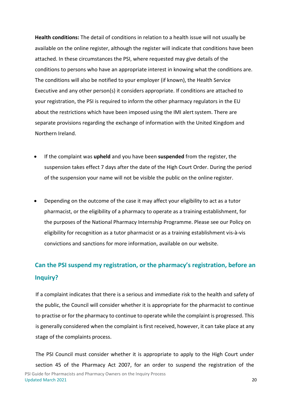**Health conditions:** The detail of conditions in relation to a health issue will not usually be available on the online register, although the register will indicate that conditions have been attached. In these circumstances the PSI, where requested may give details of the conditions to persons who have an appropriate interest in knowing what the conditions are. The conditions will also be notified to your employer (if known), the Health Service Executive and any other person(s) it considers appropriate. If conditions are attached to your registration, the PSI is required to inform the other pharmacy regulators in the EU about the restrictions which have been imposed using the IMI alert system. There are separate provisions regarding the exchange of information with the United Kingdom and Northern Ireland.

- If the complaint was **upheld** and you have been **suspended** from the register, the suspension takes effect 7 days after the date of the High Court Order. During the period of the suspension your name will not be visible the public on the online register.
- Depending on the outcome of the case it may affect your eligibility to act as a tutor pharmacist, or the eligibility of a pharmacy to operate as a training establishment, for the purposes of the National Pharmacy Internship Programme. Please see our Policy on eligibility for recognition as a tutor pharmacist or as a training establishment vis-à-vis convictions and sanctions for more information, available on our website.

## <span id="page-21-0"></span>**Can the PSI suspend my registration, or the pharmacy's registration, before an Inquiry?**

If a complaint indicates that there is a serious and immediate risk to the health and safety of the public, the Council will consider whether it is appropriate for the pharmacist to continue to practise or for the pharmacy to continue to operate while the complaint is progressed. This is generally considered when the complaint is first received, however, it can take place at any stage of the complaints process.

PSI Guide for Pharmacists and Pharmacy Owners on the Inquiry Process Updated March 2021 20 The PSI Council must consider whether it is appropriate to apply to the High Court under section 45 of the Pharmacy Act 2007, for an order to suspend the registration of the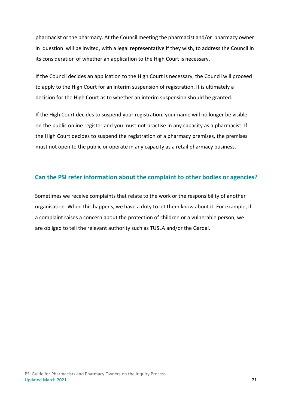pharmacist or the pharmacy. At the Council meeting the pharmacist and/or pharmacy owner in question will be invited, with a legal representative if they wish, to address the Council in its consideration of whether an application to the High Court is necessary.

If the Council decides an application to the High Court is necessary, the Council will proceed to apply to the High Court for an interim suspension of registration. It is ultimately a decision for the High Court as to whether an interim suspension should be granted.

If the High Court decides to suspend your registration, your name will no longer be visible on the public online register and you must not practise in any capacity as a pharmacist. If the High Court decides to suspend the registration of a pharmacy premises, the premises must not open to the public or operate in any capacity as a retail pharmacy business.

#### <span id="page-22-0"></span>**Can the PSI refer information about the complaint to other bodies or agencies?**

Sometimes we receive complaints that relate to the work or the responsibility of another organisation. When this happens, we have a duty to let them know about it. For example, if a complaint raises a concern about the protection of children or a vulnerable person, we are obliged to tell the relevant authority such as TUSLA and/or the Gardaí.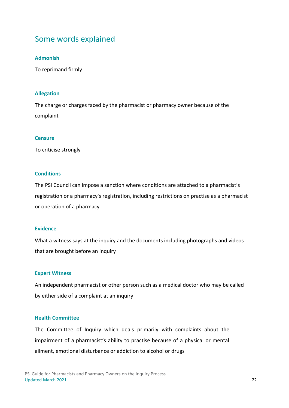## <span id="page-23-0"></span>Some words explained

#### **Admonish**

To reprimand firmly

#### **Allegation**

The charge or charges faced by the pharmacist or pharmacy owner because of the complaint

#### **Censure**

To criticise strongly

#### **Conditions**

The PSI Council can impose a sanction where conditions are attached to a pharmacist's registration or a pharmacy's registration, including restrictions on practise as a pharmacist or operation of a pharmacy

#### **Evidence**

What a witness says at the inquiry and the documents including photographs and videos that are brought before an inquiry

#### **Expert Witness**

An independent pharmacist or other person such as a medical doctor who may be called by either side of a complaint at an inquiry

#### **Health Committee**

The Committee of Inquiry which deals primarily with complaints about the impairment of a pharmacist's ability to practise because of a physical or mental ailment, emotional disturbance or addiction to alcohol or drugs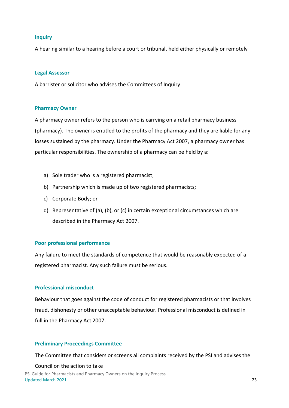#### **Inquiry**

A hearing similar to a hearing before a court or tribunal, held either physically or remotely

#### **Legal Assessor**

A barrister or solicitor who advises the Committees of Inquiry

#### **Pharmacy Owner**

A pharmacy owner refers to the person who is carrying on a retail pharmacy business (pharmacy). The owner is entitled to the profits of the pharmacy and they are liable for any losses sustained by the pharmacy. Under the Pharmacy Act 2007, a pharmacy owner has particular responsibilities. The ownership of a pharmacy can be held by a:

- a) Sole trader who is a registered pharmacist;
- b) Partnership which is made up of two registered pharmacists;
- c) Corporate Body; or
- d) Representative of (a), (b), or (c) in certain exceptional circumstances which are described in the Pharmacy Act 2007.

#### **Poor professional performance**

Any failure to meet the standards of competence that would be reasonably expected of a registered pharmacist. Any such failure must be serious.

#### **Professional misconduct**

Behaviour that goes against the code of conduct for registered pharmacists or that involves fraud, dishonesty or other unacceptable behaviour. Professional misconduct is defined in full in the Pharmacy Act 2007.

#### **Preliminary Proceedings Committee**

The Committee that considers or screens all complaints received by the PSI and advises the

#### Council on the action to take

PSI Guide for Pharmacists and Pharmacy Owners on the Inquiry Process Updated March 2021 23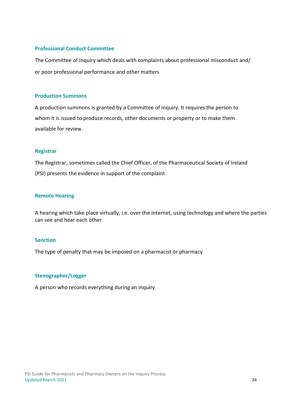#### **Professional Conduct Committee**

The Committee of Inquiry which deals with complaints about professional misconduct and/ or poor professional performance and other matters

#### **Production Summons**

A production summons is granted by a Committee of Inquiry. It requires the person to whom it is issued to produce records, other documents or property or to make them available for review.

#### **Registrar**

The Registrar, sometimes called the Chief Officer, of the Pharmaceutical Society of Ireland (PSI) presents the evidence in support of the complaint

#### **Remote Hearing**

A hearing which take place virtually, i.e. over the internet, using technology and where the parties can see and hear each other.

#### **Sanction**

The type of penalty that may be imposed on a pharmacist or pharmacy

#### **Stenographer/Logger**

A person who records everything during an inquiry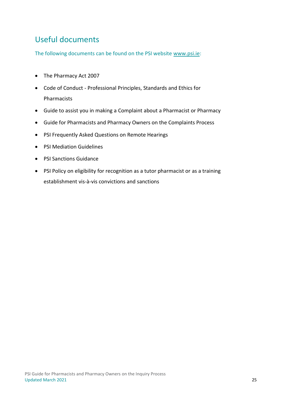## <span id="page-26-0"></span>Useful documents

The following documents can be found on the PSI website [www.psi.ie:](http://www.psi.ie/)

- The Pharmacy Act 2007
- Code of Conduct Professional Principles, Standards and Ethics for Pharmacists
- Guide to assist you in making a Complaint about a Pharmacist or Pharmacy
- Guide for Pharmacists and Pharmacy Owners on the Complaints Process
- PSI Frequently Asked Questions on Remote Hearings
- PSI Mediation Guidelines
- PSI Sanctions Guidance
- PSI Policy on eligibility for recognition as a tutor pharmacist or as a training establishment vis-à-vis convictions and sanctions